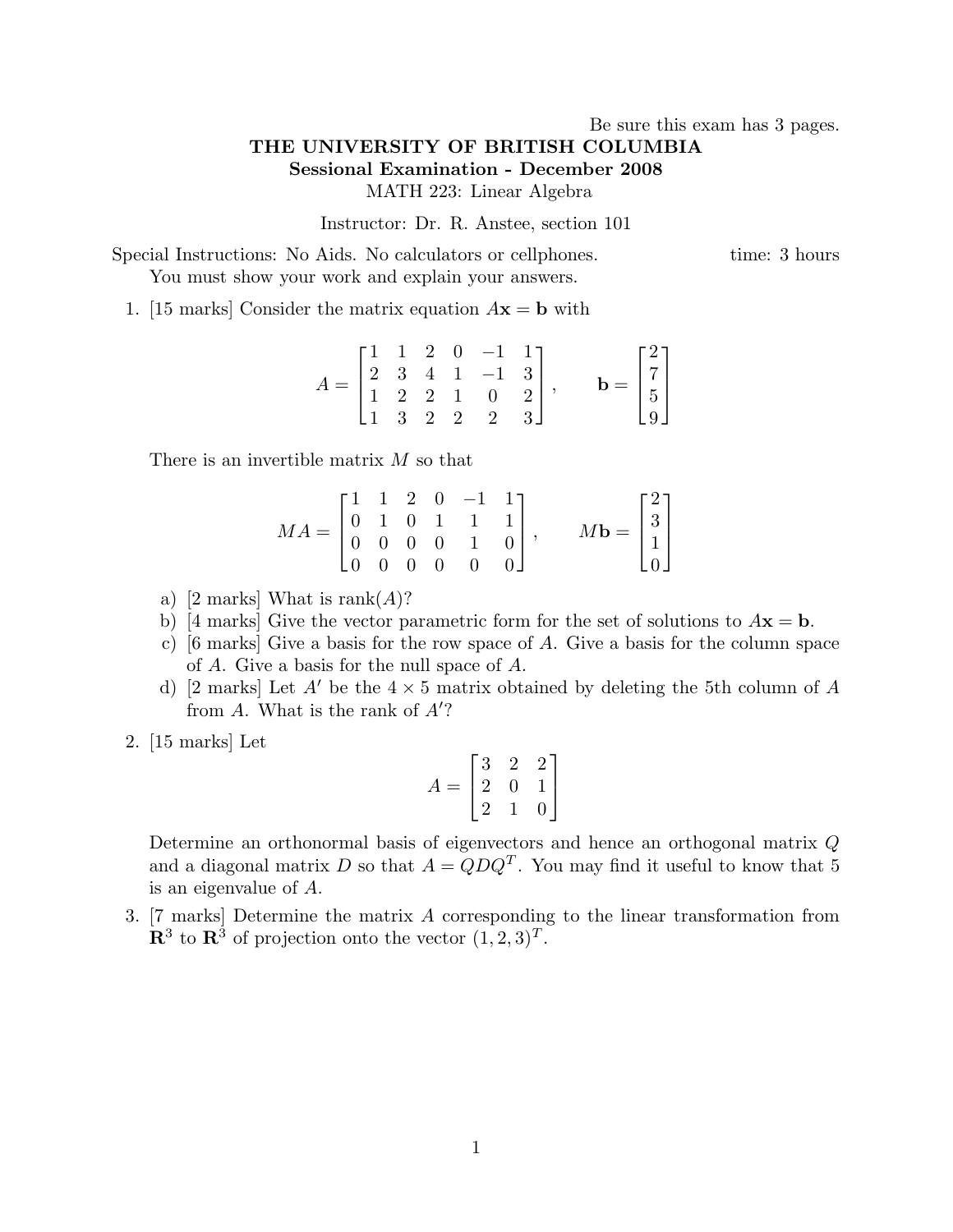## Be sure this exam has 3 pages. THE UNIVERSITY OF BRITISH COLUMBIA Sessional Examination - December 2008 MATH 223: Linear Algebra

Instructor: Dr. R. Anstee, section 101

Special Instructions: No Aids. No calculators or cellphones. time: 3 hours You must show your work and explain your answers.

1. [15 marks] Consider the matrix equation  $A\mathbf{x} = \mathbf{b}$  with

$$
A = \begin{bmatrix} 1 & 1 & 2 & 0 & -1 & 1 \\ 2 & 3 & 4 & 1 & -1 & 3 \\ 1 & 2 & 2 & 1 & 0 & 2 \\ 1 & 3 & 2 & 2 & 2 & 3 \end{bmatrix}, \quad \mathbf{b} = \begin{bmatrix} 2 \\ 7 \\ 5 \\ 9 \end{bmatrix}
$$

There is an invertible matrix M so that

$$
MA = \begin{bmatrix} 1 & 1 & 2 & 0 & -1 & 1 \\ 0 & 1 & 0 & 1 & 1 & 1 \\ 0 & 0 & 0 & 0 & 1 & 0 \\ 0 & 0 & 0 & 0 & 0 & 0 \end{bmatrix}, \qquad M\mathbf{b} = \begin{bmatrix} 2 \\ 3 \\ 1 \\ 0 \end{bmatrix}
$$

- a) [2 marks] What is rank $(A)$ ?
- b) [4 marks] Give the vector parametric form for the set of solutions to  $A\mathbf{x} = \mathbf{b}$ .
- c) [6 marks] Give a basis for the row space of A. Give a basis for the column space of A. Give a basis for the null space of A.
- d) [2 marks] Let A' be the  $4 \times 5$  matrix obtained by deleting the 5th column of A from A. What is the rank of  $A$ ?
- 2. [15 marks] Let

$$
A = \begin{bmatrix} 3 & 2 & 2 \\ 2 & 0 & 1 \\ 2 & 1 & 0 \end{bmatrix}
$$

Determine an orthonormal basis of eigenvectors and hence an orthogonal matrix Q and a diagonal matrix D so that  $A = QDQ^T$ . You may find it useful to know that 5 is an eigenvalue of A.

3. [7 marks] Determine the matrix A corresponding to the linear transformation from  $\mathbf{R}^3$  to  $\mathbf{R}^3$  of projection onto the vector  $(1, 2, 3)^T$ .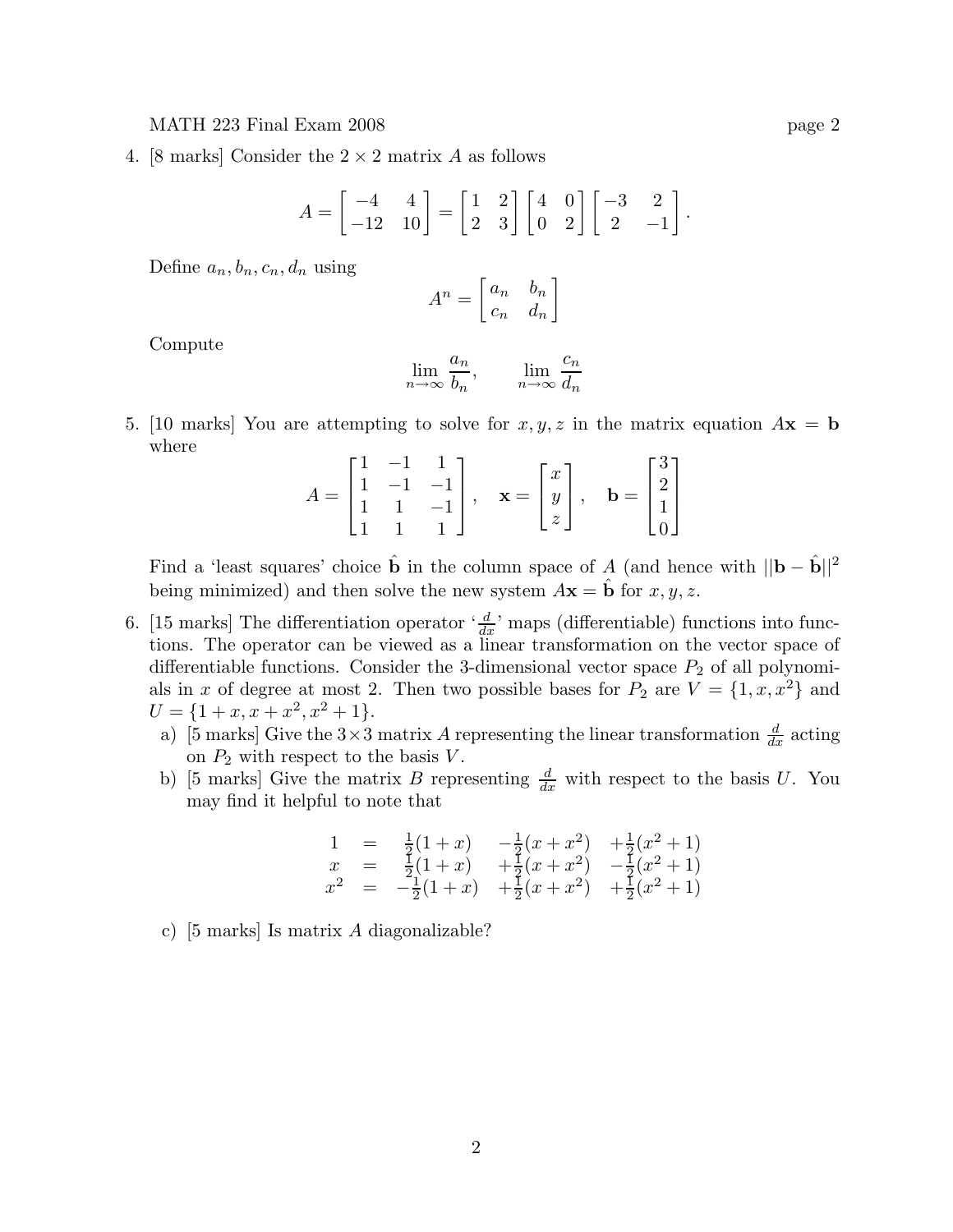## MATH 223 Final Exam 2008 **page 2**

4. [8 marks] Consider the  $2 \times 2$  matrix A as follows

$$
A = \begin{bmatrix} -4 & 4 \\ -12 & 10 \end{bmatrix} = \begin{bmatrix} 1 & 2 \\ 2 & 3 \end{bmatrix} \begin{bmatrix} 4 & 0 \\ 0 & 2 \end{bmatrix} \begin{bmatrix} -3 & 2 \\ 2 & -1 \end{bmatrix}.
$$

Define  $a_n, b_n, c_n, d_n$  using

$$
A^n = \begin{bmatrix} a_n & b_n \\ c_n & d_n \end{bmatrix}
$$

Compute

$$
\lim_{n \to \infty} \frac{a_n}{b_n}, \qquad \lim_{n \to \infty} \frac{c_n}{d_n}
$$

5. [10 marks] You are attempting to solve for  $x, y, z$  in the matrix equation  $A\mathbf{x} = \mathbf{b}$ where

$$
A = \begin{bmatrix} 1 & -1 & 1 \\ 1 & -1 & -1 \\ 1 & 1 & -1 \\ 1 & 1 & 1 \end{bmatrix}, \quad \mathbf{x} = \begin{bmatrix} x \\ y \\ z \end{bmatrix}, \quad \mathbf{b} = \begin{bmatrix} 3 \\ 2 \\ 1 \\ 0 \end{bmatrix}
$$

Find a 'least squares' choice  $\hat{\mathbf{b}}$  in the column space of A (and hence with  $||\mathbf{b} - \hat{\mathbf{b}}||^2$ being minimized) and then solve the new system  $A\mathbf{x} = \hat{\mathbf{b}}$  for  $x, y, z$ .

- 6. [15 marks] The differentiation operator  $\frac{d}{dx}$  maps (differentiable) functions into functions. The operator can be viewed as a linear transformation on the vector space of differentiable functions. Consider the 3-dimensional vector space  $P_2$  of all polynomials in x of degree at most 2. Then two possible bases for  $P_2$  are  $V = \{1, x, x^2\}$  and  $U = \{1 + x, x + x^2, x^2 + 1\}.$ 
	- a) [5 marks] Give the  $3 \times 3$  matrix A representing the linear transformation  $\frac{d}{dx}$  acting on  $P_2$  with respect to the basis  $V$ .
	- b) [5 marks] Give the matrix B representing  $\frac{d}{dx}$  with respect to the basis U. You may find it helpful to note that

$$
\begin{array}{rcl}\n1 & = & \frac{1}{2}(1+x) & -\frac{1}{2}(x+x^2) & +\frac{1}{2}(x^2+1) \\
x & = & \frac{1}{2}(1+x) & +\frac{1}{2}(x+x^2) & -\frac{1}{2}(x^2+1) \\
x^2 & = & -\frac{1}{2}(1+x) & +\frac{1}{2}(x+x^2) & +\frac{1}{2}(x^2+1)\n\end{array}
$$

c) [5 marks] Is matrix A diagonalizable?